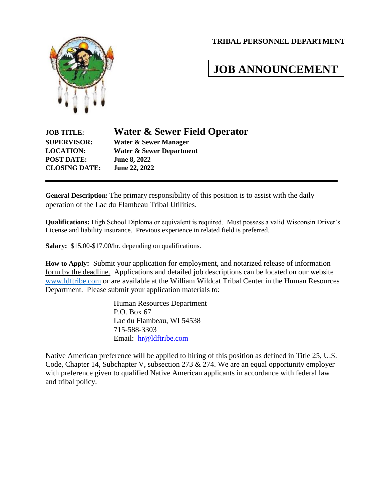#### **TRIBAL PERSONNEL DEPARTMENT**



# **JOB ANNOUNCEMENT**

| <b>Water &amp; Sewer Field Operator</b> |
|-----------------------------------------|
| Water & Sewer Manager                   |
| <b>Water &amp; Sewer Department</b>     |
| <b>June 8, 2022</b>                     |
| June 22, 2022                           |
|                                         |

**General Description:** The primary responsibility of this position is to assist with the daily operation of the Lac du Flambeau Tribal Utilities.

**Qualifications:** High School Diploma or equivalent is required. Must possess a valid Wisconsin Driver's License and liability insurance. Previous experience in related field is preferred.

**Salary:** \$15.00-\$17.00/hr. depending on qualifications.

**How to Apply:** Submit your application for employment, and notarized release of information form by the deadline. Applications and detailed job descriptions can be located on our website [www.ldftribe.com](http://www.ldftribe.com/) or are available at the William Wildcat Tribal Center in the Human Resources Department. Please submit your application materials to:

> Human Resources Department P.O. Box 67 Lac du Flambeau, WI 54538 715-588-3303 Email: [hr@ldftribe.com](mailto:hr@ldftribe.com)

Native American preference will be applied to hiring of this position as defined in Title 25, U.S. Code, Chapter 14, Subchapter V, subsection 273 & 274. We are an equal opportunity employer with preference given to qualified Native American applicants in accordance with federal law and tribal policy.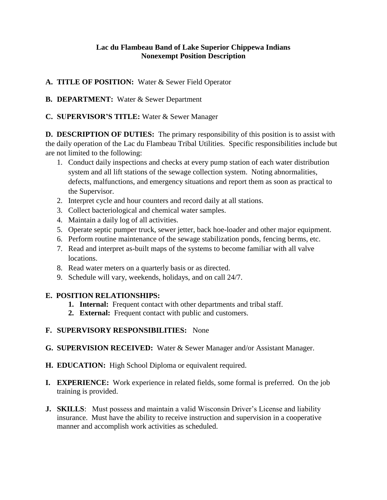#### **Lac du Flambeau Band of Lake Superior Chippewa Indians Nonexempt Position Description**

## **A. TITLE OF POSITION:** Water & Sewer Field Operator

**B. DEPARTMENT:** Water & Sewer Department

## **C. SUPERVISOR'S TITLE:** Water & Sewer Manager

**D. DESCRIPTION OF DUTIES:** The primary responsibility of this position is to assist with the daily operation of the Lac du Flambeau Tribal Utilities. Specific responsibilities include but are not limited to the following:

- 1. Conduct daily inspections and checks at every pump station of each water distribution system and all lift stations of the sewage collection system. Noting abnormalities, defects, malfunctions, and emergency situations and report them as soon as practical to the Supervisor.
- 2. Interpret cycle and hour counters and record daily at all stations.
- 3. Collect bacteriological and chemical water samples.
- 4. Maintain a daily log of all activities.
- 5. Operate septic pumper truck, sewer jetter, back hoe-loader and other major equipment.
- 6. Perform routine maintenance of the sewage stabilization ponds, fencing berms, etc.
- 7. Read and interpret as-built maps of the systems to become familiar with all valve locations.
- 8. Read water meters on a quarterly basis or as directed.
- 9. Schedule will vary, weekends, holidays, and on call 24/7.

# **E. POSITION RELATIONSHIPS:**

- **1. Internal:** Frequent contact with other departments and tribal staff.
- **2. External:** Frequent contact with public and customers.

# **F. SUPERVISORY RESPONSIBILITIES:** None

- **G. SUPERVISION RECEIVED:** Water & Sewer Manager and/or Assistant Manager.
- **H. EDUCATION:** High School Diploma or equivalent required.
- **I. EXPERIENCE:** Work experience in related fields, some formal is preferred. On the job training is provided.
- **J. SKILLS**: Must possess and maintain a valid Wisconsin Driver's License and liability insurance. Must have the ability to receive instruction and supervision in a cooperative manner and accomplish work activities as scheduled.